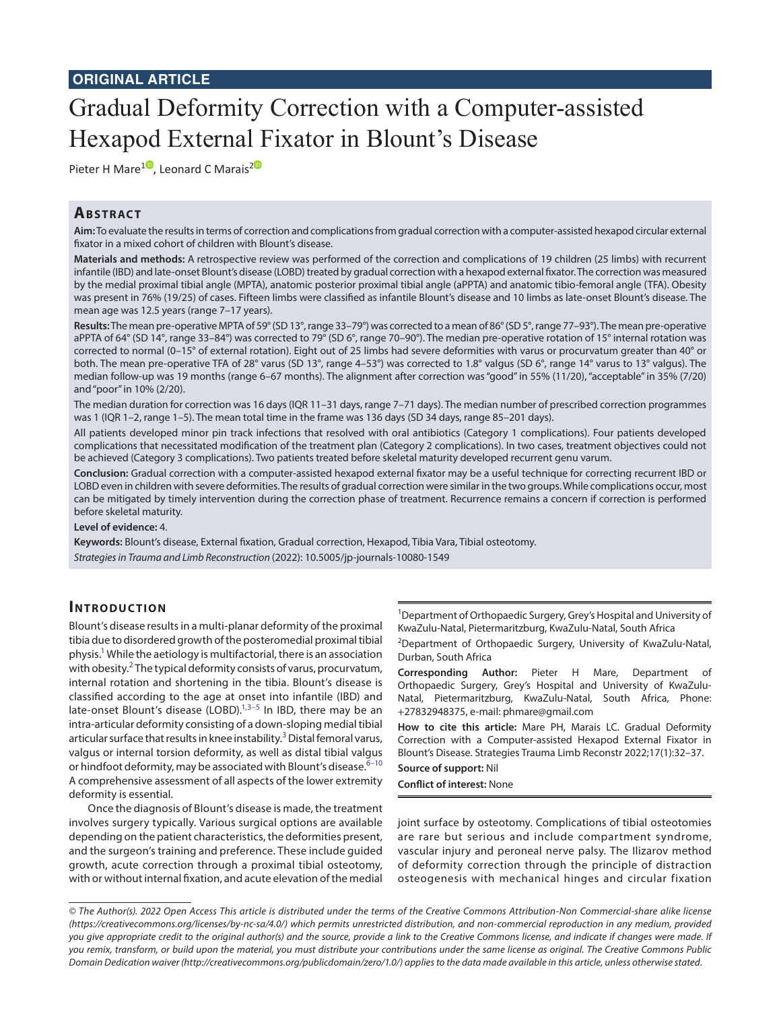# Gradual Deformity Correction with a Computer-assisted Hexapod External Fixator in Blount's Disease

Pieter H Mare<sup>[1](https://orcid.org/0000-0003-1599-7651)0</sup>, Leonard C Marais<sup>[2](https://orcid.org/0000-0002-1120-8419)0</sup>

# **ABSTRACT**

**Aim:** To evaluate the results in terms of correction and complications from gradual correction with a computer-assisted hexapod circular external fixator in a mixed cohort of children with Blount's disease.

**Materials and methods:** A retrospective review was performed of the correction and complications of 19 children (25 limbs) with recurrent infantile (IBD) and late-onset Blount's disease (LOBD) treated by gradual correction with a hexapod external fixator. The correction was measured by the medial proximal tibial angle (MPTA), anatomic posterior proximal tibial angle (aPPTA) and anatomic tibio-femoral angle (TFA). Obesity was present in 76% (19/25) of cases. Fifteen limbs were classified as infantile Blount's disease and 10 limbs as late-onset Blount's disease. The mean age was 12.5 years (range 7–17 years).

**Results:** The mean pre-operative MPTA of 59° (SD 13°, range 33–79°) was corrected to a mean of 86° (SD 5°, range 77–93°). The mean pre-operative aPPTA of 64° (SD 14°, range 33–84°) was corrected to 79° (SD 6°, range 70–90°). The median pre-operative rotation of 15° internal rotation was corrected to normal (0–15° of external rotation). Eight out of 25 limbs had severe deformities with varus or procurvatum greater than 40° or both. The mean pre-operative TFA of 28° varus (SD 13°, range 4–53°) was corrected to 1.8° valgus (SD 6°, range 14° varus to 13° valgus). The median follow-up was 19 months (range 6–67 months). The alignment after correction was "good" in 55% (11/20), "acceptable" in 35% (7/20) and "poor" in 10% (2/20).

The median duration for correction was 16 days (IQR 11–31 days, range 7–71 days). The median number of prescribed correction programmes was 1 (IQR 1–2, range 1–5). The mean total time in the frame was 136 days (SD 34 days, range 85–201 days).

All patients developed minor pin track infections that resolved with oral antibiotics (Category 1 complications). Four patients developed complications that necessitated modification of the treatment plan (Category 2 complications). In two cases, treatment objectives could not be achieved (Category 3 complications). Two patients treated before skeletal maturity developed recurrent genu varum.

**Conclusion:** Gradual correction with a computer-assisted hexapod external fixator may be a useful technique for correcting recurrent IBD or LOBD even in children with severe deformities. The results of gradual correction were similar in the two groups. While complications occur, most can be mitigated by timely intervention during the correction phase of treatment. Recurrence remains a concern if correction is performed before skeletal maturity.

#### **Level of evidence:** 4.

**Keywords:** Blount's disease, External fixation, Gradual correction, Hexapod, Tibia Vara, Tibial osteotomy. *Strategies in Trauma and Limb Reconstruction* (2022): 10.5005/jp-journals-10080-1549

## **INTRODUCTION**

Blount's disease results in a multi-planar deformity of the proximal tibia due to disordered growth of the posteromedial proximal tibial physis.<sup>1</sup> While the aetiology is multifactorial, there is an association with obesity. $2$  The typical deformity consists of varus, procurvatum, internal rotation and shortening in the tibia. Blount's disease is classified according to the age at onset into infantile (IBD) and late-onset Blount's disease (LOBD).<sup>1,[3](#page-5-2)–[5](#page-5-3)</sup> In IBD, there may be an intra-articular deformity consisting of a down-sloping medial tibial articular surface that results in knee instability.<sup>[3](#page-5-2)</sup> Distal femoral varus, valgus or internal torsion deformity, as well as distal tibial valgus or hindfoot deformity, may be associated with Blount's disease.<sup>6-[10](#page-5-5)</sup> A comprehensive assessment of all aspects of the lower extremity deformity is essential.

Once the diagnosis of Blount's disease is made, the treatment involves surgery typically. Various surgical options are available depending on the patient characteristics, the deformities present, and the surgeon's training and preference. These include guided growth, acute correction through a proximal tibial osteotomy, with or without internal fixation, and acute elevation of the medial

<sup>1</sup>Department of Orthopaedic Surgery, Grey's Hospital and University of KwaZulu-Natal, Pietermaritzburg, KwaZulu-Natal, South Africa

<sup>2</sup>Department of Orthopaedic Surgery, University of KwaZulu-Natal, Durban, South Africa

**Corresponding Author:** Pieter H Mare, Department of Orthopaedic Surgery, Grey's Hospital and University of KwaZulu-Natal, Pietermaritzburg, KwaZulu-Natal, South Africa, Phone: +27832948375, e-mail: phmare@gmail.com

**How to cite this article:** Mare PH, Marais LC. Gradual Deformity Correction with a Computer-assisted Hexapod External Fixator in Blount's Disease. Strategies Trauma Limb Reconstr 2022;17(1):32–37.

#### **Source of support:** Nil

**Conflict of interest:** None

joint surface by osteotomy. Complications of tibial osteotomies are rare but serious and include compartment syndrome, vascular injury and peroneal nerve palsy. The Ilizarov method of deformity correction through the principle of distraction osteogenesis with mechanical hinges and circular fixation

*<sup>©</sup> The Author(s). 2022 Open Access This article is distributed under the terms of the Creative Commons Attribution-Non Commercial-share alike license [\(https://creativecommons.org/licenses/by-nc-sa/4.0/](https://creativecommons.org/licenses/by-nc-sa/4.0/)) which permits unrestricted distribution, and non-commercial reproduction in any medium, provided you give appropriate credit to the original author(s) and the source, provide a link to the Creative Commons license, and indicate if changes were made. If you remix, transform, or build upon the material, you must distribute your contributions under the same license as original. The Creative Commons Public Domain Dedication waiver [\(http://creativecommons.org/publicdomain/zero/1.0/\)](http://creativecommons.org/publicdomain/zero/1.0/) applies to the data made available in this article, unless otherwise stated.*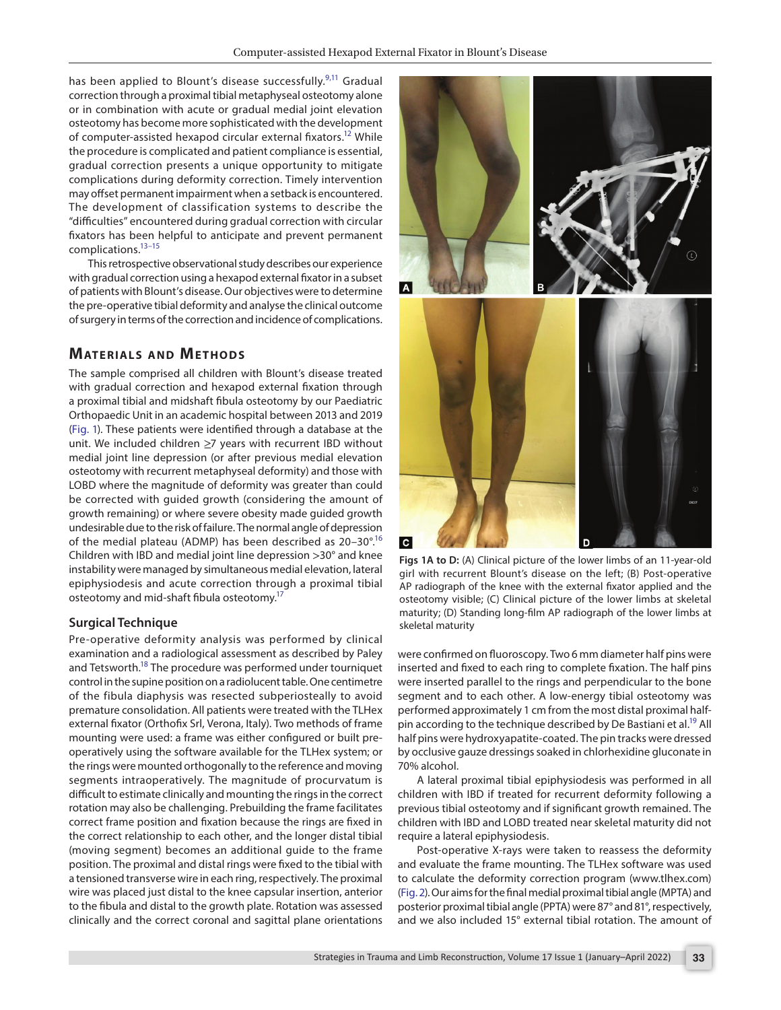has been applied to Blount's disease successfully.<sup>[9](#page-5-6),11</sup> Gradual correction through a proximal tibial metaphyseal osteotomy alone or in combination with acute or gradual medial joint elevation osteotomy has become more sophisticated with the development of computer-assisted hexapod circular external fixators[.12](#page-5-8) While the procedure is complicated and patient compliance is essential, gradual correction presents a unique opportunity to mitigate complications during deformity correction. Timely intervention may offset permanent impairment when a setback is encountered. The development of classification systems to describe the "difficulties" encountered during gradual correction with circular fixators has been helpful to anticipate and prevent permanent complications[.13](#page-5-9)[–15](#page-5-10)

This retrospective observational study describes our experience with gradual correction using a hexapod external fixator in a subset of patients with Blount's disease. Our objectives were to determine the pre-operative tibial deformity and analyse the clinical outcome of surgery in terms of the correction and incidence of complications.

### **MATERIALS AND METHODS**

The sample comprised all children with Blount's disease treated with gradual correction and hexapod external fixation through a proximal tibial and midshaft fibula osteotomy by our Paediatric Orthopaedic Unit in an academic hospital between 2013 and 2019 [\(Fig. 1](#page-1-0)). These patients were identified through a database at the unit. We included children ≥7 years with recurrent IBD without medial joint line depression (or after previous medial elevation osteotomy with recurrent metaphyseal deformity) and those with LOBD where the magnitude of deformity was greater than could be corrected with guided growth (considering the amount of growth remaining) or where severe obesity made guided growth undesirable due to the risk of failure. The normal angle of depression of the medial plateau (ADMP) has been described as 20–30°[.16](#page-5-11) Children with IBD and medial joint line depression >30° and knee instability were managed by simultaneous medial elevation, lateral epiphysiodesis and acute correction through a proximal tibial osteotomy and mid-shaft fibula osteotomy.<sup>17</sup>

#### **Surgical Technique**

Pre-operative deformity analysis was performed by clinical examination and a radiological assessment as described by Paley and Tetsworth.<sup>18</sup> The procedure was performed under tourniquet control in the supine position on a radiolucent table. One centimetre of the fibula diaphysis was resected subperiosteally to avoid premature consolidation. All patients were treated with the TLHex external fixator (Orthofix Srl, Verona, Italy). Two methods of frame mounting were used: a frame was either configured or built preoperatively using the software available for the TLHex system; or the rings were mounted orthogonally to the reference and moving segments intraoperatively. The magnitude of procurvatum is difficult to estimate clinically and mounting the rings in the correct rotation may also be challenging. Prebuilding the frame facilitates correct frame position and fixation because the rings are fixed in the correct relationship to each other, and the longer distal tibial (moving segment) becomes an additional guide to the frame position. The proximal and distal rings were fixed to the tibial with a tensioned transverse wire in each ring, respectively. The proximal wire was placed just distal to the knee capsular insertion, anterior to the fibula and distal to the growth plate. Rotation was assessed clinically and the correct coronal and sagittal plane orientations



<span id="page-1-0"></span>**Figs 1A to D:** (A) Clinical picture of the lower limbs of an 11-year-old girl with recurrent Blount's disease on the left; (B) Post-operative AP radiograph of the knee with the external fixator applied and the osteotomy visible; (C) Clinical picture of the lower limbs at skeletal maturity; (D) Standing long-film AP radiograph of the lower limbs at skeletal maturity

were confirmed on fluoroscopy. Two 6 mm diameter half pins were inserted and fixed to each ring to complete fixation. The half pins were inserted parallel to the rings and perpendicular to the bone segment and to each other. A low-energy tibial osteotomy was performed approximately 1 cm from the most distal proximal halfpin according to the technique described by De Bastiani et al.<sup>19</sup> All half pins were hydroxyapatite-coated. The pin tracks were dressed by occlusive gauze dressings soaked in chlorhexidine gluconate in 70% alcohol.

A lateral proximal tibial epiphysiodesis was performed in all children with IBD if treated for recurrent deformity following a previous tibial osteotomy and if significant growth remained. The children with IBD and LOBD treated near skeletal maturity did not require a lateral epiphysiodesis.

Post-operative X-rays were taken to reassess the deformity and evaluate the frame mounting. The TLHex software was used to calculate the deformity correction program (www.tlhex.com) [\(Fig. 2](#page-2-0)). Our aims for the final medial proximal tibial angle (MPTA) and posterior proximal tibial angle (PPTA) were 87° and 81°, respectively, and we also included 15° external tibial rotation. The amount of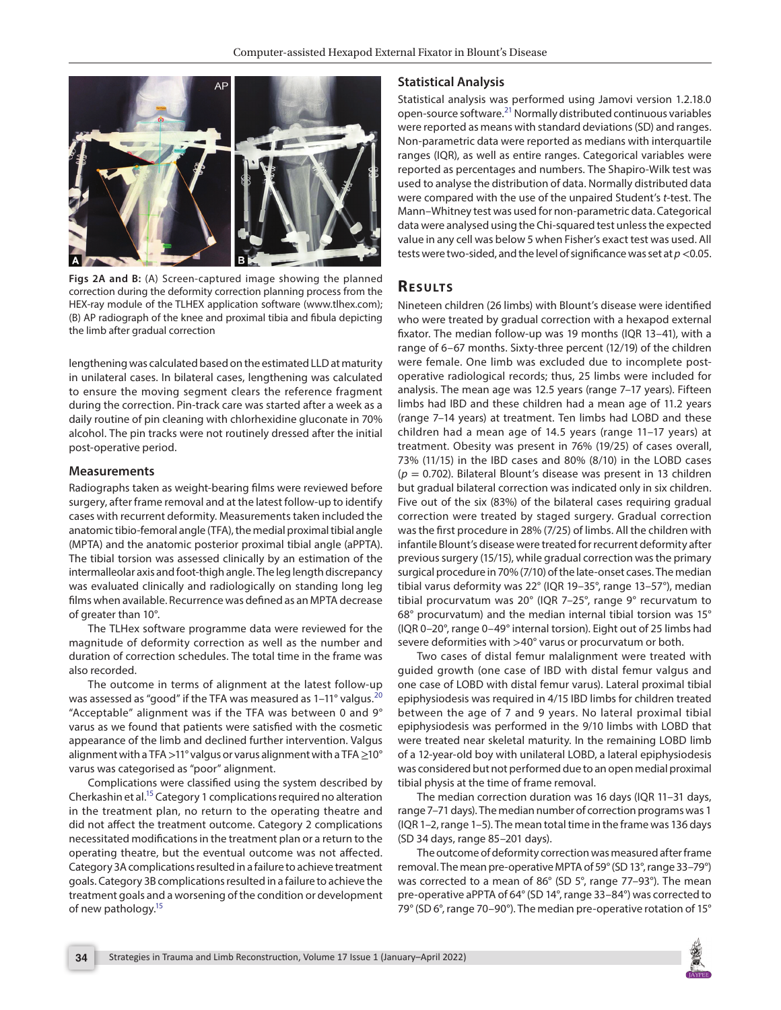

**Figs 2A and B:** (A) Screen-captured image showing the planned correction during the deformity correction planning process from the HEX-ray module of the TLHEX application software (www.tlhex.com); (B) AP radiograph of the knee and proximal tibia and fibula depicting the limb after gradual correction

<span id="page-2-0"></span>lengthening was calculated based on the estimated LLD at maturity in unilateral cases. In bilateral cases, lengthening was calculated to ensure the moving segment clears the reference fragment during the correction. Pin-track care was started after a week as a daily routine of pin cleaning with chlorhexidine gluconate in 70% alcohol. The pin tracks were not routinely dressed after the initial post-operative period.

#### **Measurements**

Radiographs taken as weight-bearing films were reviewed before surgery, after frame removal and at the latest follow-up to identify cases with recurrent deformity. Measurements taken included the anatomic tibio-femoral angle (TFA), the medial proximal tibial angle (MPTA) and the anatomic posterior proximal tibial angle (aPPTA). The tibial torsion was assessed clinically by an estimation of the intermalleolar axis and foot-thigh angle. The leg length discrepancy was evaluated clinically and radiologically on standing long leg films when available. Recurrence was defined as an MPTA decrease of greater than 10°.

The TLHex software programme data were reviewed for the magnitude of deformity correction as well as the number and duration of correction schedules. The total time in the frame was also recorded.

The outcome in terms of alignment at the latest follow-up was assessed as "good" if the TFA was measured as 1-11° valgus.<sup>[20](#page-5-15)</sup> "Acceptable" alignment was if the TFA was between 0 and 9° varus as we found that patients were satisfied with the cosmetic appearance of the limb and declined further intervention. Valgus alignment with a TFA >11° valgus or varus alignment with a TFA  $\geq$ 10° varus was categorised as "poor" alignment.

Complications were classified using the system described by Cherkashin et al[.15](#page-5-10) Category 1 complications required no alteration in the treatment plan, no return to the operating theatre and did not affect the treatment outcome. Category 2 complications necessitated modifications in the treatment plan or a return to the operating theatre, but the eventual outcome was not affected. Category 3A complications resulted in a failure to achieve treatment goals. Category 3B complications resulted in a failure to achieve the treatment goals and a worsening of the condition or development of new pathology[.15](#page-5-10)

#### **Statistical Analysis**

Statistical analysis was performed using Jamovi version 1.2.18.0 open-source software.<sup>21</sup> Normally distributed continuous variables were reported as means with standard deviations (SD) and ranges. Non-parametric data were reported as medians with interquartile ranges (IQR), as well as entire ranges. Categorical variables were reported as percentages and numbers. The Shapiro-Wilk test was used to analyse the distribution of data. Normally distributed data were compared with the use of the unpaired Student's *t*-test. The Mann–Whitney test was used for non-parametric data. Categorical data were analysed using the Chi-squared test unless the expected value in any cell was below 5 when Fisher's exact test was used. All tests were two-sided, and the level of significance was set at *p*<0.05.

# **RESULTS**

Nineteen children (26 limbs) with Blount's disease were identified who were treated by gradual correction with a hexapod external fixator. The median follow-up was 19 months (IQR 13–41), with a range of 6–67 months. Sixty-three percent (12/19) of the children were female. One limb was excluded due to incomplete postoperative radiological records; thus, 25 limbs were included for analysis. The mean age was 12.5 years (range 7–17 years). Fifteen limbs had IBD and these children had a mean age of 11.2 years (range 7–14 years) at treatment. Ten limbs had LOBD and these children had a mean age of 14.5 years (range 11–17 years) at treatment. Obesity was present in 76% (19/25) of cases overall, 73% (11/15) in the IBD cases and 80% (8/10) in the LOBD cases (*p* = 0.702). Bilateral Blount's disease was present in 13 children but gradual bilateral correction was indicated only in six children. Five out of the six (83%) of the bilateral cases requiring gradual correction were treated by staged surgery. Gradual correction was the first procedure in 28% (7/25) of limbs. All the children with infantile Blount's disease were treated for recurrent deformity after previous surgery (15/15), while gradual correction was the primary surgical procedure in 70% (7/10) of the late-onset cases. The median tibial varus deformity was 22° (IQR 19–35°, range 13–57°), median tibial procurvatum was 20° (IQR 7–25°, range 9° recurvatum to 68° procurvatum) and the median internal tibial torsion was 15° (IQR 0–20°, range 0–49° internal torsion). Eight out of 25 limbs had severe deformities with >40° varus or procurvatum or both.

Two cases of distal femur malalignment were treated with guided growth (one case of IBD with distal femur valgus and one case of LOBD with distal femur varus). Lateral proximal tibial epiphysiodesis was required in 4/15 IBD limbs for children treated between the age of 7 and 9 years. No lateral proximal tibial epiphysiodesis was performed in the 9/10 limbs with LOBD that were treated near skeletal maturity. In the remaining LOBD limb of a 12-year-old boy with unilateral LOBD, a lateral epiphysiodesis was considered but not performed due to an open medial proximal tibial physis at the time of frame removal.

The median correction duration was 16 days (IQR 11–31 days, range 7–71 days). The median number of correction programs was 1 (IQR 1–2, range 1–5). The mean total time in the frame was 136 days (SD 34 days, range 85–201 days).

The outcome of deformity correction was measured after frame removal. The mean pre-operative MPTA of 59° (SD 13°, range 33–79°) was corrected to a mean of 86° (SD 5°, range 77–93°). The mean pre-operative aPPTA of 64° (SD 14°, range 33–84°) was corrected to 79° (SD 6°, range 70–90°). The median pre-operative rotation of 15°

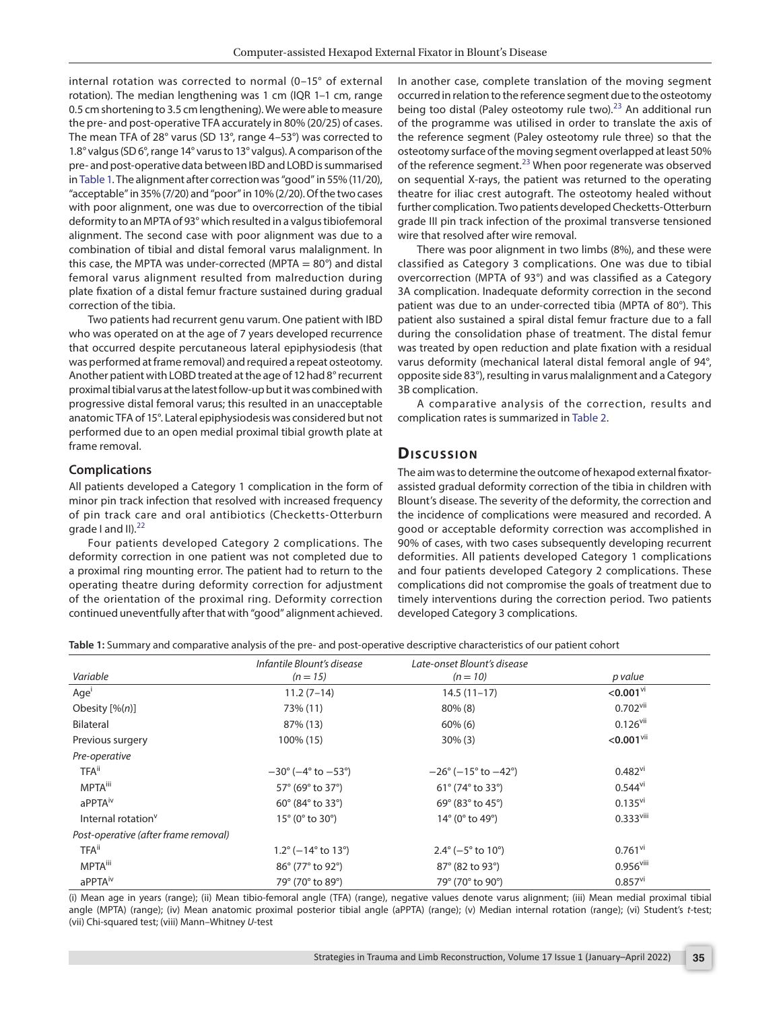internal rotation was corrected to normal (0–15° of external rotation). The median lengthening was 1 cm (IQR 1–1 cm, range 0.5 cm shortening to 3.5 cm lengthening). We were able to measure the pre- and post-operative TFA accurately in 80% (20/25) of cases. The mean TFA of 28° varus (SD 13°, range 4–53°) was corrected to 1.8° valgus (SD 6°, range 14° varus to 13° valgus). A comparison of the pre- and post-operative data between IBD and LOBD is summarised in [Table 1.](#page-3-0) The alignment after correction was "good" in 55% (11/20), "acceptable" in 35% (7/20) and "poor" in 10% (2/20). Of the two cases with poor alignment, one was due to overcorrection of the tibial deformity to an MPTA of 93° which resulted in a valgus tibiofemoral alignment. The second case with poor alignment was due to a combination of tibial and distal femoral varus malalignment. In this case, the MPTA was under-corrected (MPTA  $= 80^{\circ}$ ) and distal femoral varus alignment resulted from malreduction during plate fixation of a distal femur fracture sustained during gradual correction of the tibia.

Two patients had recurrent genu varum. One patient with IBD who was operated on at the age of 7 years developed recurrence that occurred despite percutaneous lateral epiphysiodesis (that was performed at frame removal) and required a repeat osteotomy. Another patient with LOBD treated at the age of 12 had 8° recurrent proximal tibial varus at the latest follow-up but it was combined with progressive distal femoral varus; this resulted in an unacceptable anatomic TFA of 15°. Lateral epiphysiodesis was considered but not performed due to an open medial proximal tibial growth plate at frame removal.

#### **Complications**

All patients developed a Category 1 complication in the form of minor pin track infection that resolved with increased frequency of pin track care and oral antibiotics (Checketts-Otterburn arade I and  $II$ ).<sup>[22](#page-5-17)</sup>

Four patients developed Category 2 complications. The deformity correction in one patient was not completed due to a proximal ring mounting error. The patient had to return to the operating theatre during deformity correction for adjustment of the orientation of the proximal ring. Deformity correction continued uneventfully after that with "good" alignment achieved. In another case, complete translation of the moving segment occurred in relation to the reference segment due to the osteotomy being too distal (Paley osteotomy rule two). $^{23}$  An additional run of the programme was utilised in order to translate the axis of the reference segment (Paley osteotomy rule three) so that the osteotomy surface of the moving segment overlapped at least 50% of the reference segment. $^{23}$  When poor regenerate was observed on sequential X-rays, the patient was returned to the operating theatre for iliac crest autograft. The osteotomy healed without further complication. Two patients developed Checketts-Otterburn grade III pin track infection of the proximal transverse tensioned wire that resolved after wire removal.

There was poor alignment in two limbs (8%), and these were classified as Category 3 complications. One was due to tibial overcorrection (MPTA of 93°) and was classified as a Category 3A complication. Inadequate deformity correction in the second patient was due to an under-corrected tibia (MPTA of 80°). This patient also sustained a spiral distal femur fracture due to a fall during the consolidation phase of treatment. The distal femur was treated by open reduction and plate fixation with a residual varus deformity (mechanical lateral distal femoral angle of 94°, opposite side 83°), resulting in varus malalignment and a Category 3B complication.

A comparative analysis of the correction, results and complication rates is summarized in [Table 2.](#page-4-0)

## **Dis c u s sio n**

The aim was to determine the outcome of hexapod external fixatorassisted gradual deformity correction of the tibia in children with Blount's disease. The severity of the deformity, the correction and the incidence of complications were measured and recorded. A good or acceptable deformity correction was accomplished in 90% of cases, with two cases subsequently developing recurrent deformities. All patients developed Category 1 complications and four patients developed Category 2 complications. These complications did not compromise the goals of treatment due to timely interventions during the correction period. Two patients developed Category 3 complications.

<span id="page-3-0"></span>**Table 1:** Summary and comparative analysis of the pre- and post-operative descriptive characteristics of our patient cohort

|                                      | Infantile Blount's disease                       | Late-onset Blount's disease                      |                         |  |
|--------------------------------------|--------------------------------------------------|--------------------------------------------------|-------------------------|--|
| Variable                             | $(n = 15)$                                       | $(n = 10)$                                       | p value                 |  |
| Age <sup>'</sup>                     | $11.2(7-14)$                                     | $14.5(11-17)$                                    | $< 0.001$ <sup>vi</sup> |  |
| Obesity $[% (n)]$                    | 73% (11)                                         | $80\%$ (8)                                       | $0.702$ <sup>vii</sup>  |  |
| Bilateral                            | 87% (13)                                         | $60\%$ (6)                                       | $0.126$ <sup>vii</sup>  |  |
| Previous surgery                     | 100% (15)                                        | $30\%$ (3)                                       | $<$ 0.001 $\rm{vii}$    |  |
| Pre-operative                        |                                                  |                                                  |                         |  |
| <b>TFA</b> <sup>ii</sup>             | $-30^{\circ}$ ( $-4^{\circ}$ to $-53^{\circ}$ )  | $-26^{\circ}$ ( $-15^{\circ}$ to $-42^{\circ}$ ) | $0.482$ <sup>vi</sup>   |  |
| <b>MPTA</b> <sup>iii</sup>           | 57° (69° to 37°)                                 | $61^{\circ}$ (74 $^{\circ}$ to 33 $^{\circ}$ )   | $0.544$ <sup>vi</sup>   |  |
| aPPTA <sup>iv</sup>                  | $60^{\circ}$ (84 $^{\circ}$ to 33 $^{\circ}$ )   | $69^{\circ}$ (83 $^{\circ}$ to 45 $^{\circ}$ )   | $0.135$ <sup>vi</sup>   |  |
| Internal rotation <sup>v</sup>       | $15^{\circ}$ (0 $^{\circ}$ to 30 $^{\circ}$ )    | 14° (0° to 49°)                                  | $0.333$ <sup>viii</sup> |  |
| Post-operative (after frame removal) |                                                  |                                                  |                         |  |
| <b>TFA</b> <sup>ii</sup>             | $1.2^{\circ}$ (-14 $^{\circ}$ to 13 $^{\circ}$ ) | $2.4^{\circ}$ (-5 $^{\circ}$ to 10 $^{\circ}$ )  | $0.761$ <sup>vi</sup>   |  |
| <b>MPTA</b> <sup>iii</sup>           | 86° (77° to 92°)                                 | 87° (82 to 93°)                                  | $0.956$ <sup>viii</sup> |  |
| aPPTA <sup>iv</sup>                  | 79° (70° to 89°)                                 | 79° (70° to 90°)                                 | $0.857$ <sup>vi</sup>   |  |

(i) Mean age in years (range); (ii) Mean tibio-femoral angle (TFA) (range), negative values denote varus alignment; (iii) Mean medial proximal tibial angle (MPTA) (range); (iv) Mean anatomic proximal posterior tibial angle (aPPTA) (range); (v) Median internal rotation (range); (vi) Student's *t*-test; (vii) Chi-squared test; (viii) Mann–Whitney *U*-test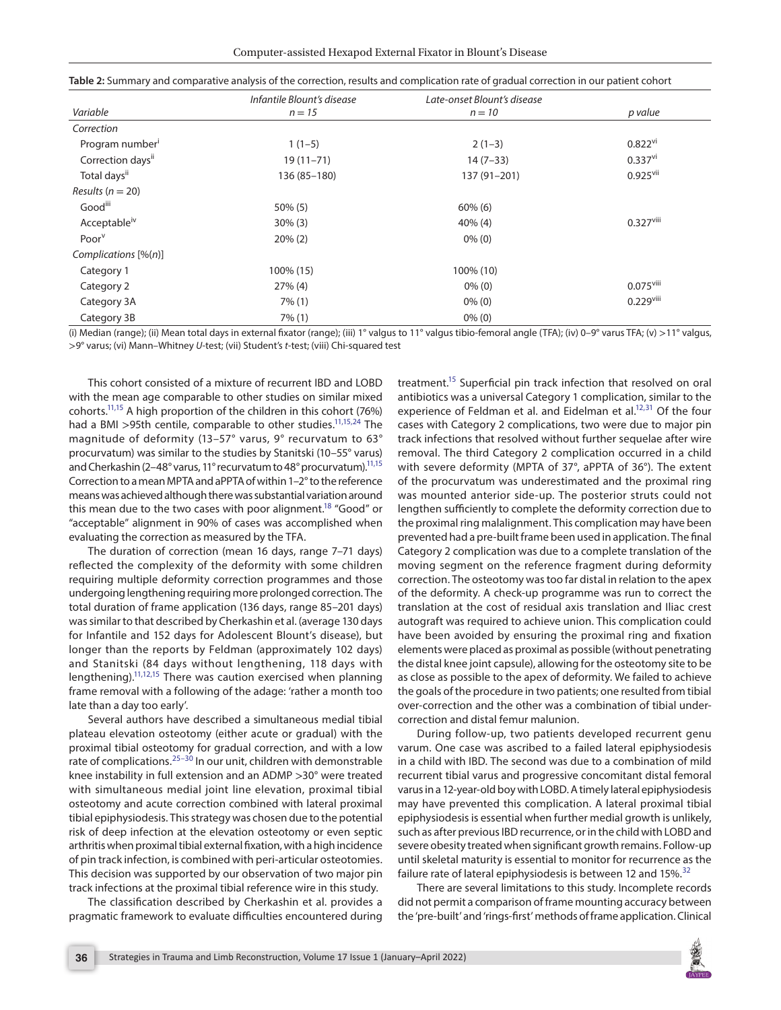|                          | Infantile Blount's disease | Late-onset Blount's disease |                         |  |
|--------------------------|----------------------------|-----------------------------|-------------------------|--|
| Variable                 | $n = 15$                   | $n = 10$                    | p value                 |  |
| Correction               |                            |                             |                         |  |
| Program number           | $1(1-5)$                   | $2(1-3)$                    | $0.822$ <sup>vi</sup>   |  |
| Correction daysii        | $19(11 - 71)$              | $14(7-33)$                  | $0.337$ <sup>vi</sup>   |  |
| Total daysii             | 136 (85-180)               | 137 (91-201)                | $0.925$ <sup>vii</sup>  |  |
| Results ( $n = 20$ )     |                            |                             |                         |  |
| Goodili                  | $50\%$ (5)                 | $60\%$ (6)                  |                         |  |
| Acceptable <sup>iv</sup> | $30\%$ (3)                 | $40\%$ (4)                  | $0.327$ <sup>viii</sup> |  |
| Poor <sup>v</sup>        | $20\%$ (2)                 | $0\%$ (0)                   |                         |  |
| Complications $[\%(n)]$  |                            |                             |                         |  |
| Category 1               | 100% (15)                  | 100% (10)                   |                         |  |
| Category 2               | $27\%$ (4)                 | $0\%$ (0)                   | $0.075$ <sup>viii</sup> |  |
| Category 3A              | $7\%$ (1)                  | $0\%$ (0)                   | $0.229$ <sup>viii</sup> |  |
| Category 3B              | $7\%$ (1)                  | $0\%$ (0)                   |                         |  |

<span id="page-4-0"></span>

|  | Table 2: Summary and comparative analysis of the correction, results and complication rate of gradual correction in our patient cohort |  |  |  |
|--|----------------------------------------------------------------------------------------------------------------------------------------|--|--|--|
|  |                                                                                                                                        |  |  |  |

(i) Median (range); (ii) Mean total days in external fixator (range); (iii) 1° valgus to 11° valgus tibio-femoral angle (TFA); (iv) 0–9° varus TFA; (v) >11° valgus, >9° varus; (vi) Mann–Whitney *U*-test; (vii) Student's *t*-test; (viii) Chi-squared test

This cohort consisted of a mixture of recurrent IBD and LOBD with the mean age comparable to other studies on similar mixed cohorts.<sup>11,15</sup> A high proportion of the children in this cohort (76%) had a BMI >95th centile, comparable to other studies.<sup>11[,15](#page-5-10),24</sup> The magnitude of deformity (13–57° varus, 9° recurvatum to 63° procurvatum) was similar to the studies by Stanitski (10–55° varus) and Cherkashin (2–48° varus, 11° recurvatum to 48° procurvatum).<sup>11[,15](#page-5-10)</sup> Correction to a mean MPTA and aPPTA of within 1–2° to the reference means was achieved although there was substantial variation around this mean due to the two cases with poor alignment.<sup>18</sup> "Good" or "acceptable" alignment in 90% of cases was accomplished when evaluating the correction as measured by the TFA.

The duration of correction (mean 16 days, range 7–71 days) reflected the complexity of the deformity with some children requiring multiple deformity correction programmes and those undergoing lengthening requiring more prolonged correction. The total duration of frame application (136 days, range 85–201 days) was similar to that described by Cherkashin et al. (average 130 days for Infantile and 152 days for Adolescent Blount's disease), but longer than the reports by Feldman (approximately 102 days) and Stanitski (84 days without lengthening, 118 days with lengthening).<sup>11,[12](#page-5-8)[,15](#page-5-10)</sup> There was caution exercised when planning frame removal with a following of the adage: 'rather a month too late than a day too early'.

Several authors have described a simultaneous medial tibial plateau elevation osteotomy (either acute or gradual) with the proximal tibial osteotomy for gradual correction, and with a low rate of complications.<sup>25-30</sup> In our unit, children with demonstrable knee instability in full extension and an ADMP >30° were treated with simultaneous medial joint line elevation, proximal tibial osteotomy and acute correction combined with lateral proximal tibial epiphysiodesis. This strategy was chosen due to the potential risk of deep infection at the elevation osteotomy or even septic arthritis when proximal tibial external fixation, with a high incidence of pin track infection, is combined with peri-articular osteotomies. This decision was supported by our observation of two major pin track infections at the proximal tibial reference wire in this study.

The classification described by Cherkashin et al. provides a pragmatic framework to evaluate difficulties encountered during treatment.<sup>15</sup> Superficial pin track infection that resolved on oral antibiotics was a universal Category 1 complication, similar to the experience of Feldman et al. and Eidelman et al.<sup>12,[31](#page-5-22)</sup> Of the four cases with Category 2 complications, two were due to major pin track infections that resolved without further sequelae after wire removal. The third Category 2 complication occurred in a child with severe deformity (MPTA of 37°, aPPTA of 36°). The extent of the procurvatum was underestimated and the proximal ring was mounted anterior side-up. The posterior struts could not lengthen sufficiently to complete the deformity correction due to the proximal ring malalignment. This complication may have been prevented had a pre-built frame been used in application. The final Category 2 complication was due to a complete translation of the moving segment on the reference fragment during deformity correction. The osteotomy was too far distal in relation to the apex of the deformity. A check-up programme was run to correct the translation at the cost of residual axis translation and Iliac crest autograft was required to achieve union. This complication could have been avoided by ensuring the proximal ring and fixation elements were placed as proximal as possible (without penetrating the distal knee joint capsule), allowing for the osteotomy site to be as close as possible to the apex of deformity. We failed to achieve the goals of the procedure in two patients; one resulted from tibial over-correction and the other was a combination of tibial undercorrection and distal femur malunion.

During follow-up, two patients developed recurrent genu varum. One case was ascribed to a failed lateral epiphysiodesis in a child with IBD. The second was due to a combination of mild recurrent tibial varus and progressive concomitant distal femoral varus in a 12-year-old boy with LOBD. A timely lateral epiphysiodesis may have prevented this complication. A lateral proximal tibial epiphysiodesis is essential when further medial growth is unlikely, such as after previous IBD recurrence, or in the child with LOBD and severe obesity treated when significant growth remains. Follow-up until skeletal maturity is essential to monitor for recurrence as the failure rate of lateral epiphysiodesis is between 12 and 15%.<sup>[32](#page-5-23)</sup>

There are several limitations to this study. Incomplete records did not permit a comparison of frame mounting accuracy between the 'pre-built' and 'rings-first' methods of frame application. Clinical